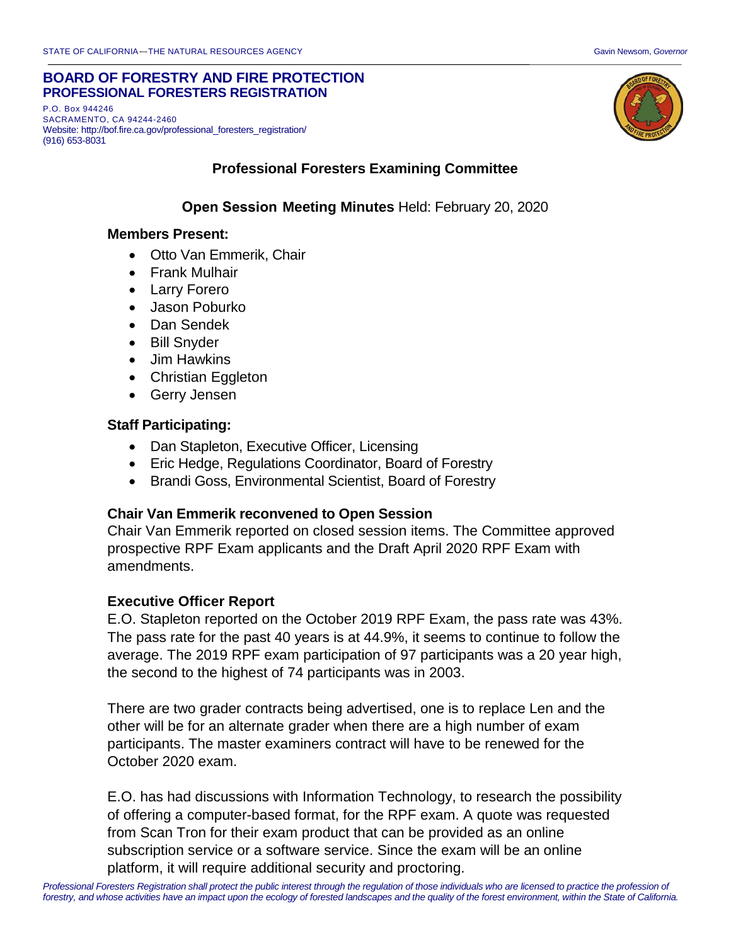#### **BOARD OF FORESTRY AND FIRE PROTECTION PROFESSIONAL FORESTERS REGISTRATION**

P.O. Box 944246 SACRAMENTO, CA 94244-2460 Website: http://bof.fire.ca.gov/professional\_foresters\_registration/ (916) 653-8031



### **Professional Foresters Examining Committee**

## **Open Session Meeting Minutes** Held: February 20, 2020

#### **Members Present:**

- Otto Van Emmerik, Chair
- Frank Mulhair
- Larry Forero
- Jason Poburko
- Dan Sendek
- Bill Snyder
- Jim Hawkins
- Christian Eggleton
- Gerry Jensen

### **Staff Participating:**

- Dan Stapleton, Executive Officer, Licensing
- Eric Hedge, Regulations Coordinator, Board of Forestry
- Brandi Goss, Environmental Scientist, Board of Forestry

#### **Chair Van Emmerik reconvened to Open Session**

Chair Van Emmerik reported on closed session items. The Committee approved prospective RPF Exam applicants and the Draft April 2020 RPF Exam with amendments.

### **Executive Officer Report**

E.O. Stapleton reported on the October 2019 RPF Exam, the pass rate was 43%. The pass rate for the past 40 years is at 44.9%, it seems to continue to follow the average. The 2019 RPF exam participation of 97 participants was a 20 year high, the second to the highest of 74 participants was in 2003.

There are two grader contracts being advertised, one is to replace Len and the other will be for an alternate grader when there are a high number of exam participants. The master examiners contract will have to be renewed for the October 2020 exam.

E.O. has had discussions with Information Technology, to research the possibility of offering a computer-based format, for the RPF exam. A quote was requested from Scan Tron for their exam product that can be provided as an online subscription service or a software service. Since the exam will be an online platform, it will require additional security and proctoring.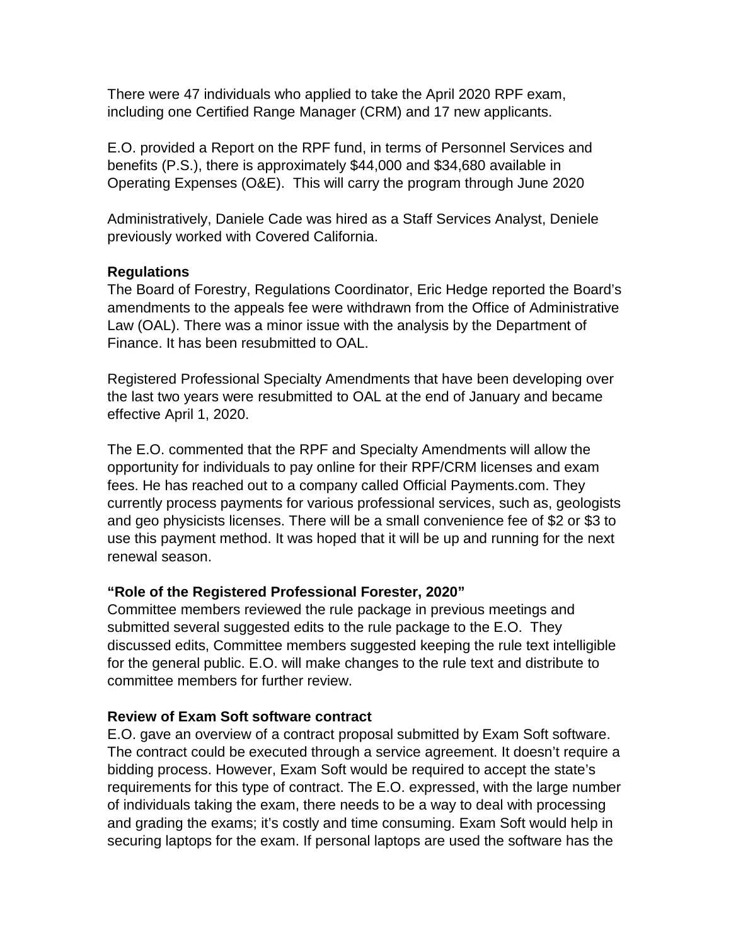There were 47 individuals who applied to take the April 2020 RPF exam, including one Certified Range Manager (CRM) and 17 new applicants.

E.O. provided a Report on the RPF fund, in terms of Personnel Services and benefits (P.S.), there is approximately \$44,000 and \$34,680 available in Operating Expenses (O&E). This will carry the program through June 2020

Administratively, Daniele Cade was hired as a Staff Services Analyst, Deniele previously worked with Covered California.

## **Regulations**

The Board of Forestry, Regulations Coordinator, Eric Hedge reported the Board's amendments to the appeals fee were withdrawn from the Office of Administrative Law (OAL). There was a minor issue with the analysis by the Department of Finance. It has been resubmitted to OAL.

Registered Professional Specialty Amendments that have been developing over the last two years were resubmitted to OAL at the end of January and became effective April 1, 2020.

The E.O. commented that the RPF and Specialty Amendments will allow the opportunity for individuals to pay online for their RPF/CRM licenses and exam fees. He has reached out to a company called Official Payments.com. They currently process payments for various professional services, such as, geologists and geo physicists licenses. There will be a small convenience fee of \$2 or \$3 to use this payment method. It was hoped that it will be up and running for the next renewal season.

## **"Role of the Registered Professional Forester, 2020"**

Committee members reviewed the rule package in previous meetings and submitted several suggested edits to the rule package to the E.O. They discussed edits, Committee members suggested keeping the rule text intelligible for the general public. E.O. will make changes to the rule text and distribute to committee members for further review.

## **Review of Exam Soft software contract**

E.O. gave an overview of a contract proposal submitted by Exam Soft software. The contract could be executed through a service agreement. It doesn't require a bidding process. However, Exam Soft would be required to accept the state's requirements for this type of contract. The E.O. expressed, with the large number of individuals taking the exam, there needs to be a way to deal with processing and grading the exams; it's costly and time consuming. Exam Soft would help in securing laptops for the exam. If personal laptops are used the software has the